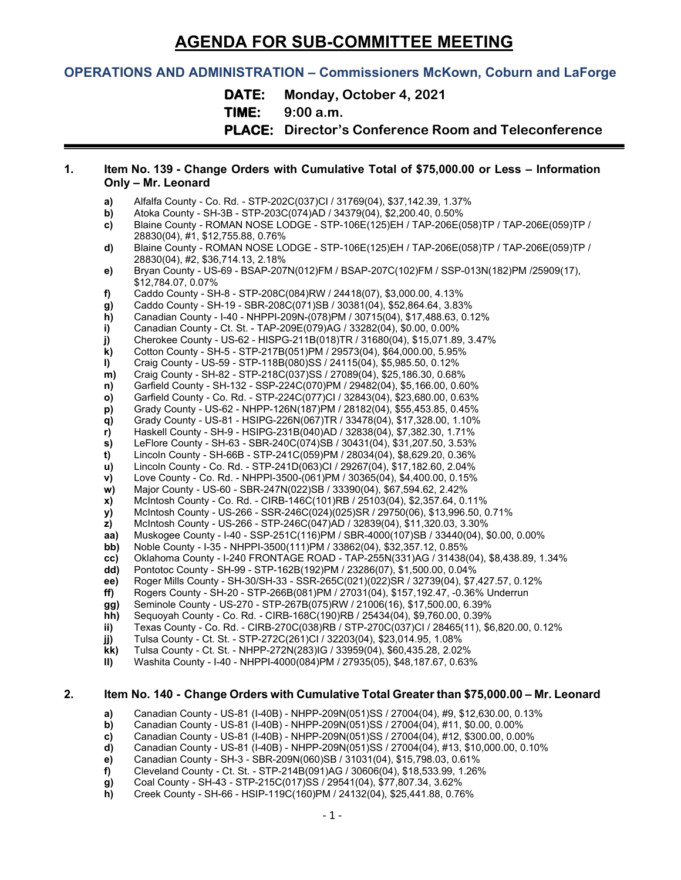# **AGENDA FOR SUB-COMMITTEE MEETING**

# **OPERATIONS AND ADMINISTRATION – Commissioners McKown, Coburn and LaForge**

**DATE: Monday, October 4, 2021**

**TIME: 9:00 a.m.**

**PLACE: Director's Conference Room and Teleconference**

#### **1. Item No. 139 - Change Orders with Cumulative Total of \$75,000.00 or Less – Information Only – Mr. Leonard**

- **a)** Alfalfa County Co. Rd. STP-202C(037)CI / 31769(04), \$37,142.39, 1.37%
- **b)** Atoka County SH-3B STP-203C(074)AD / 34379(04), \$2,200.40, 0.50%
- **c)** Blaine County ROMAN NOSE LODGE STP-106E(125)EH / TAP-206E(058)TP / TAP-206E(059)TP / 28830(04), #1, \$12,755.88, 0.76%
- **d)** Blaine County ROMAN NOSE LODGE STP-106E(125)EH / TAP-206E(058)TP / TAP-206E(059)TP / 28830(04), #2, \$36,714.13, 2.18%
- **e)** Bryan County US-69 BSAP-207N(012)FM / BSAP-207C(102)FM / SSP-013N(182)PM /25909(17), \$12,784.07, 0.07%
- **f)** Caddo County SH-8 STP-208C(084)RW / 24418(07), \$3,000.00, 4.13%
- **g)** Caddo County SH-19 SBR-208C(071)SB / 30381(04), \$52,864.64, 3.83%
- **h)** Canadian County I-40 NHPPI-209N-(078)PM / 30715(04), \$17,488.63, 0.12%<br>**i)** Canadian County Ct. St. TAP-209E(079)AG / 33282(04), \$0.00, 0.00%
- **i)** Canadian County Ct. St. TAP-209E(079)AG / 33282(04), \$0.00, 0.00%
- **j)** Cherokee County US-62 HISPG-211B(018)TR / 31680(04), \$15,071.89, 3.47%
- **k)** Cotton County SH-5 STP-217B(051)PM / 29573(04), \$64,000.00, 5.95%
- **l)** Craig County US-59 STP-118B(080)SS / 24115(04), \$5,985.50, 0.12%
- **m)** Craig County SH-82 STP-218C(037)SS / 27089(04), \$25,186.30, 0.68%
- **n)** Garfield County SH-132 SSP-224C(070)PM / 29482(04), \$5,166.00, 0.60%
- **o)** Garfield County Co. Rd. STP-224C(077)CI / 32843(04), \$23,680.00, 0.63%
- **p)** Grady County US-62 NHPP-126N(187)PM / 28182(04), \$55,453.85, 0.45%
- **q)** Grady County US-81 HSIPG-226N(067)TR / 33478(04), \$17,328.00, 1.10%
- **r)** Haskell County SH-9 HSIPG-231B(040)AD / 32838(04), \$7,382.30, 1.71%
- **s)** LeFlore County SH-63 SBR-240C(074)SB / 30431(04), \$31,207.50, 3.53%
- **t)** Lincoln County SH-66B STP-241C(059)PM / 28034(04), \$8,629.20, 0.36%
- **u)** Lincoln County Co. Rd. STP-241D(063)CI / 29267(04), \$17,182.60, 2.04% **v)** Love County - Co. Rd. - NHPPI-3500-(061)PM / 30365(04), \$4,400.00, 0.15%
- **w)** Major County US-60 SBR-247N(022)SB / 33390(04), \$67,594.62, 2.42%
- **x)** McIntosh County Co. Rd. CIRB-146C(101)RB / 25103(04), \$2,357.64, 0.11%
- **y)** McIntosh County US-266 SSR-246C(024)(025)SR / 29750(06), \$13,996.50, 0.71%
- **z)** McIntosh County US-266 STP-246C(047)AD / 32839(04), \$11,320.03, 3.30%
- **aa)** Muskogee County I-40 SSP-251C(116)PM / SBR-4000(107)SB / 33440(04), \$0.00, 0.00%<br>**bb)** Noble County I-35 NHPPI-3500(111)PM / 33862(04), \$32.357.12, 0.85%
- **bb)** Noble County I-35 NHPPI-3500(111)PM / 33862(04), \$32,357.12, 0.85%<br> **cc)** Oklahoma County I-240 FRONTAGE ROAD TAP-255N(331)AG / 31438(
- **cc)** Oklahoma County I-240 FRONTAGE ROAD TAP-255N(331)AG / 31438(04), \$8,438.89, 1.34%
- 
- **dd)** Pontotoc County SH-99 STP-162B(192)PM / 23286(07), \$1,500.00, 0.04%<br>**ee)** Roger Mills County SH-30/SH-33 SSR-265C(021)(022)SR / 32739(04), \$7, **ee)** Roger Mills County - SH-30/SH-33 - SSR-265C(021)(022)SR / 32739(04), \$7,427.57, 0.12%
- **ff)** Rogers County SH-20 STP-266B(081)PM / 27031(04), \$157,192.47, -0.36% Underrun
- 
- **gg)** Seminole County US-270 STP-267B(075)RW / 21006(16), \$17,500.00, 6.39% **hh)** Sequoyah County - Co. Rd. - CIRB-168C(190)RB / 25434(04), \$9,760.00, 0.39%
- **ii)** Texas County Co. Rd. CIRB-270C(038)RB / STP-270C(037)CI / 28465(11), \$6,820.00, 0.12%
- 
- **jj)** Tulsa County Ct. St. STP-272C(261)CI / 32203(04), \$23,014.95, 1.08%
- **kk)** Tulsa County Ct. St. NHPP-272N(283)IG / 33959(04), \$60,435.28, 2.02% **ll)** Washita County - I-40 - NHPPI-4000(084)PM / 27935(05), \$48,187.67, 0.63%

# **2. Item No. 140 - Change Orders with Cumulative Total Greater than \$75,000.00 – Mr. Leonard**

- **a)** Canadian County US-81 (I-40B) NHPP-209N(051)SS / 27004(04), #9, \$12,630.00, 0.13%
- **b)** Canadian County US-81 (I-40B) NHPP-209N(051)SS / 27004(04), #11, \$0.00, 0.00%
- **c)** Canadian County US-81 (I-40B) NHPP-209N(051)SS / 27004(04), #12, \$300.00, 0.00%
- **d)** Canadian County US-81 (I-40B) NHPP-209N(051)SS / 27004(04), #13, \$10,000.00, 0.10%
- **e)** Canadian County SH-3 SBR-209N(060)SB / 31031(04), \$15,798.03, 0.61%
- **f)** Cleveland County Ct. St. STP-214B(091)AG / 30606(04), \$18,533.99, 1.26%
- **g)** Coal County SH-43 STP-215C(017)SS / 29541(04), \$77,807.34, 3.62%
- **h)** Creek County SH-66 HSIP-119C(160)PM / 24132(04), \$25,441.88, 0.76%